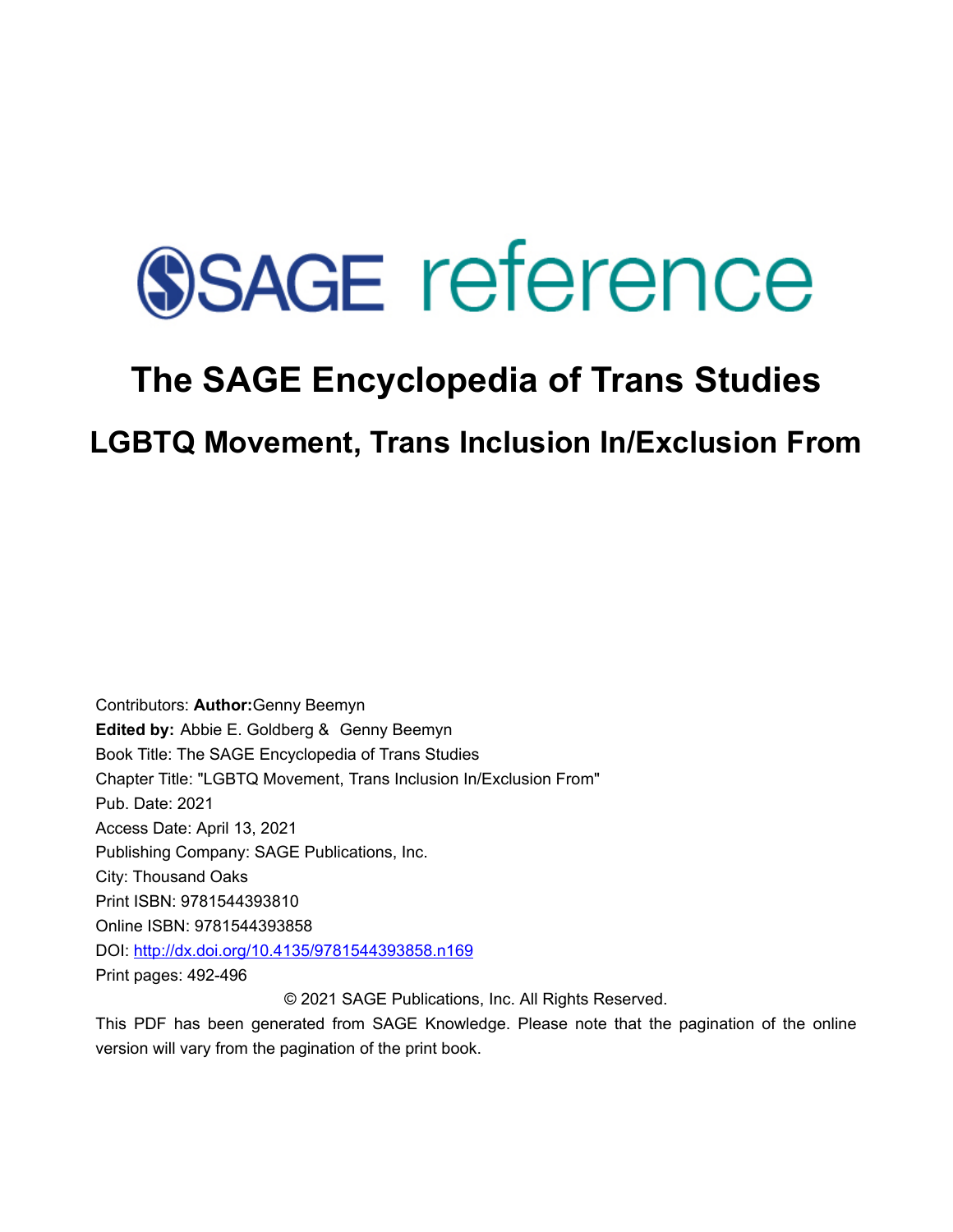# **SSAGE reference**

# **The SAGE Encyclopedia of Trans Studies**

**LGBTQ Movement, Trans Inclusion In/Exclusion From** 

Contributors: **Author:**Genny Beemyn **Edited by:** [Abbie E. Goldberg](javascript:void(0);) & [Genny Beemyn](javascript:void(0);)  Book Title: The SAGE Encyclopedia of Trans Studies Chapter Title: "LGBTQ Movement, Trans Inclusion In/Exclusion From" Pub. Date: 2021 Access Date: April 13, 2021 Publishing Company: SAGE Publications, Inc. City: Thousand Oaks Print ISBN: 9781544393810 Online ISBN: 9781544393858 DOI: <http://dx.doi.org/10.4135/9781544393858.n169> Print pages: 492-496 © 2021 SAGE Publications, Inc. All Rights Reserved.

This PDF has been generated from SAGE Knowledge. Please note that the pagination of the online version will vary from the pagination of the print book.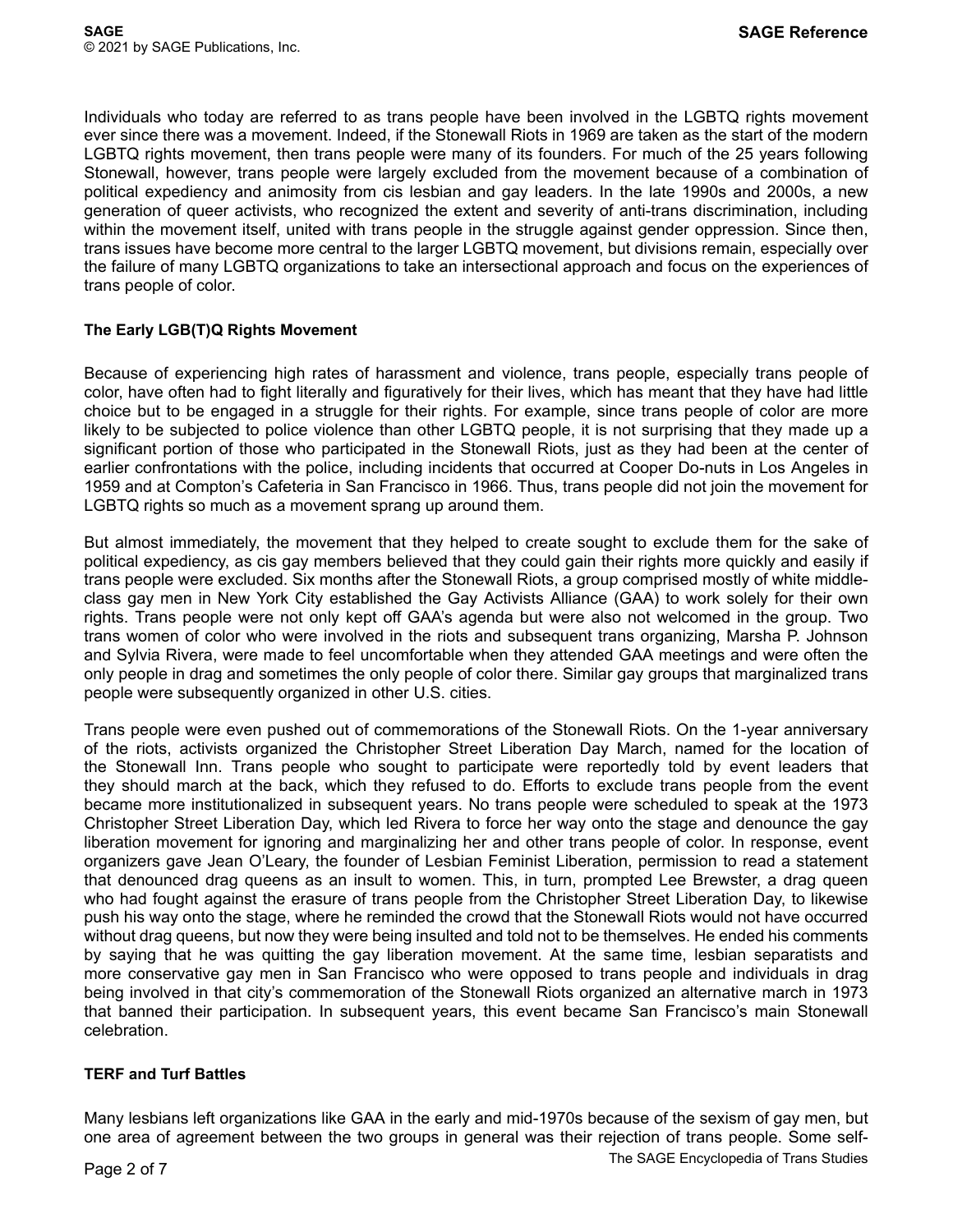Individuals who today are referred to as trans people have been involved in the LGBTQ rights movement ever since there was a movement. Indeed, if the Stonewall Riots in 1969 are taken as the start of the modern LGBTQ rights movement, then trans people were many of its founders. For much of the 25 years following Stonewall, however, trans people were largely excluded from the movement because of a combination of political expediency and animosity from cis lesbian and gay leaders. In the late 1990s and 2000s, a new generation of queer activists, who recognized the extent and severity of anti-trans discrimination, including within the movement itself, united with trans people in the struggle against gender oppression. Since then, trans issues have become more central to the larger LGBTQ movement, but divisions remain, especially over the failure of many LGBTQ organizations to take an intersectional approach and focus on the experiences of trans people of color.

## **The Early LGB(T)Q Rights Movement**

Because of experiencing high rates of harassment and violence, trans people, especially trans people of color, have often had to fight literally and figuratively for their lives, which has meant that they have had little choice but to be engaged in a struggle for their rights. For example, since trans people of color are more likely to be subjected to police violence than other LGBTQ people, it is not surprising that they made up a significant portion of those who participated in the Stonewall Riots, just as they had been at the center of earlier confrontations with the police, including incidents that occurred at Cooper Do-nuts in Los Angeles in 1959 and at Compton's Cafeteria in San Francisco in 1966. Thus, trans people did not join the movement for LGBTQ rights so much as a movement sprang up around them.

But almost immediately, the movement that they helped to create sought to exclude them for the sake of political expediency, as cis gay members believed that they could gain their rights more quickly and easily if trans people were excluded. Six months after the Stonewall Riots, a group comprised mostly of white middleclass gay men in New York City established the Gay Activists Alliance (GAA) to work solely for their own rights. Trans people were not only kept off GAA's agenda but were also not welcomed in the group. Two trans women of color who were involved in the riots and subsequent trans organizing, Marsha P. Johnson and Sylvia Rivera, were made to feel uncomfortable when they attended GAA meetings and were often the only people in drag and sometimes the only people of color there. Similar gay groups that marginalized trans people were subsequently organized in other U.S. cities.

Trans people were even pushed out of commemorations of the Stonewall Riots. On the 1-year anniversary of the riots, activists organized the Christopher Street Liberation Day March, named for the location of the Stonewall Inn. Trans people who sought to participate were reportedly told by event leaders that they should march at the back, which they refused to do. Efforts to exclude trans people from the event became more institutionalized in subsequent years. No trans people were scheduled to speak at the 1973 Christopher Street Liberation Day, which led Rivera to force her way onto the stage and denounce the gay liberation movement for ignoring and marginalizing her and other trans people of color. In response, event organizers gave Jean O'Leary, the founder of Lesbian Feminist Liberation, permission to read a statement that denounced drag queens as an insult to women. This, in turn, prompted Lee Brewster, a drag queen who had fought against the erasure of trans people from the Christopher Street Liberation Day, to likewise push his way onto the stage, where he reminded the crowd that the Stonewall Riots would not have occurred without drag queens, but now they were being insulted and told not to be themselves. He ended his comments by saying that he was quitting the gay liberation movement. At the same time, lesbian separatists and more conservative gay men in San Francisco who were opposed to trans people and individuals in drag being involved in that city's commemoration of the Stonewall Riots organized an alternative march in 1973 that banned their participation. In subsequent years, this event became San Francisco's main Stonewall celebration.

#### **TERF and Turf Battles**

Many lesbians left organizations like GAA in the early and mid-1970s because of the sexism of gay men, but one area of agreement between the two groups in general was their rejection of trans people. Some self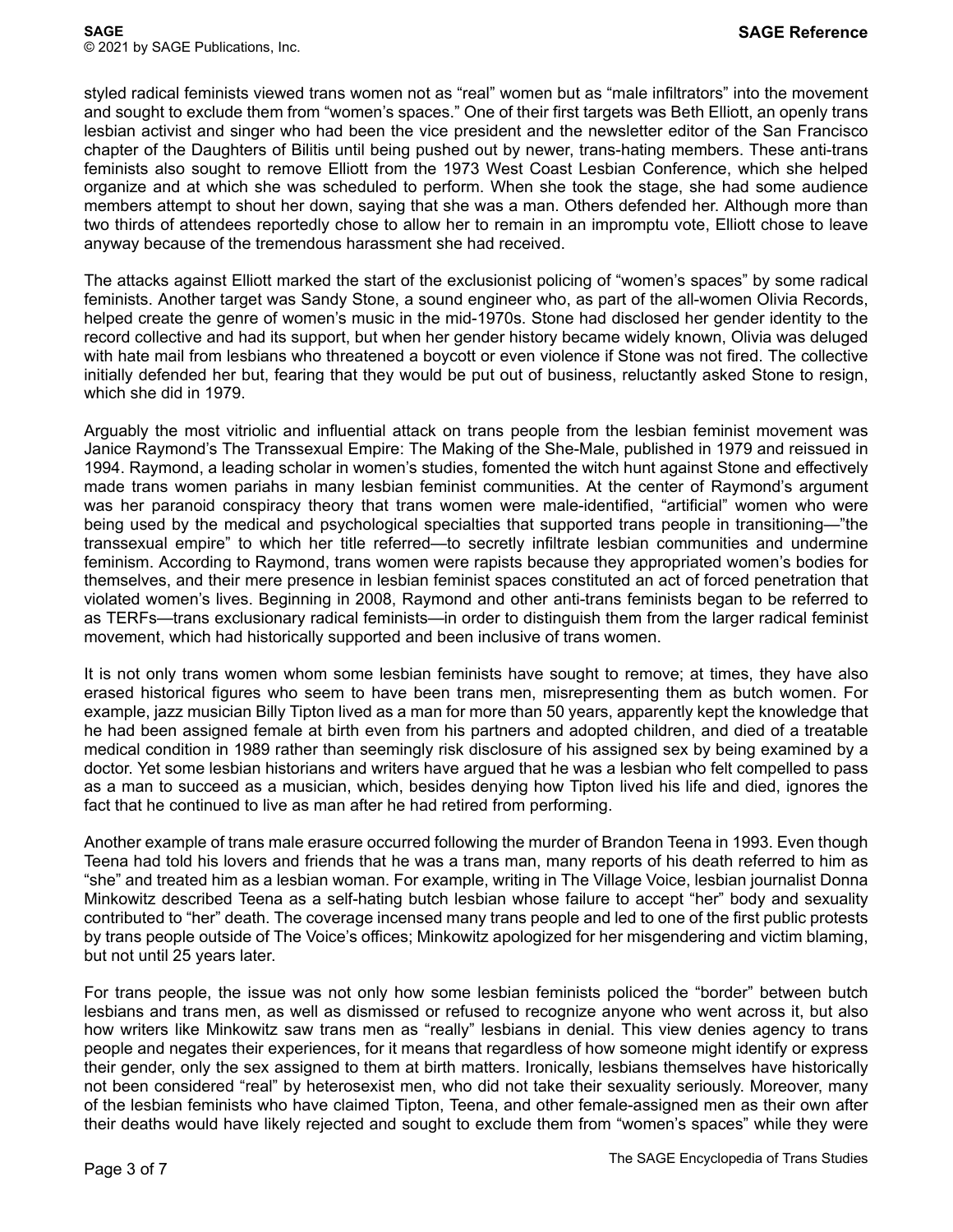styled radical feminists viewed trans women not as "real" women but as "male infiltrators" into the movement and sought to exclude them from "women's spaces." One of their first targets was Beth Elliott, an openly trans lesbian activist and singer who had been the vice president and the newsletter editor of the San Francisco chapter of the Daughters of Bilitis until being pushed out by newer, trans-hating members. These anti-trans feminists also sought to remove Elliott from the 1973 West Coast Lesbian Conference, which she helped organize and at which she was scheduled to perform. When she took the stage, she had some audience members attempt to shout her down, saying that she was a man. Others defended her. Although more than two thirds of attendees reportedly chose to allow her to remain in an impromptu vote, Elliott chose to leave anyway because of the tremendous harassment she had received.

The attacks against Elliott marked the start of the exclusionist policing of "women's spaces" by some radical feminists. Another target was Sandy Stone, a sound engineer who, as part of the all-women Olivia Records, helped create the genre of women's music in the mid-1970s. Stone had disclosed her gender identity to the record collective and had its support, but when her gender history became widely known, Olivia was deluged with hate mail from lesbians who threatened a boycott or even violence if Stone was not fired. The collective initially defended her but, fearing that they would be put out of business, reluctantly asked Stone to resign, which she did in 1979.

Arguably the most vitriolic and influential attack on trans people from the lesbian feminist movement was Janice Raymond's The Transsexual Empire: The Making of the She-Male, published in 1979 and reissued in 1994. Raymond, a leading scholar in women's studies, fomented the witch hunt against Stone and effectively made trans women pariahs in many lesbian feminist communities. At the center of Raymond's argument was her paranoid conspiracy theory that trans women were male-identified, "artificial" women who were being used by the medical and psychological specialties that supported trans people in transitioning—"the transsexual empire" to which her title referred—to secretly infiltrate lesbian communities and undermine feminism. According to Raymond, trans women were rapists because they appropriated women's bodies for themselves, and their mere presence in lesbian feminist spaces constituted an act of forced penetration that violated women's lives. Beginning in 2008, Raymond and other anti-trans feminists began to be referred to as TERFs—trans exclusionary radical feminists—in order to distinguish them from the larger radical feminist movement, which had historically supported and been inclusive of trans women.

It is not only trans women whom some lesbian feminists have sought to remove; at times, they have also erased historical figures who seem to have been trans men, misrepresenting them as butch women. For example, jazz musician Billy Tipton lived as a man for more than 50 years, apparently kept the knowledge that he had been assigned female at birth even from his partners and adopted children, and died of a treatable medical condition in 1989 rather than seemingly risk disclosure of his assigned sex by being examined by a doctor. Yet some lesbian historians and writers have argued that he was a lesbian who felt compelled to pass as a man to succeed as a musician, which, besides denying how Tipton lived his life and died, ignores the fact that he continued to live as man after he had retired from performing.

Another example of trans male erasure occurred following the murder of Brandon Teena in 1993. Even though Teena had told his lovers and friends that he was a trans man, many reports of his death referred to him as "she" and treated him as a lesbian woman. For example, writing in The Village Voice, lesbian journalist Donna Minkowitz described Teena as a self-hating butch lesbian whose failure to accept "her" body and sexuality contributed to "her" death. The coverage incensed many trans people and led to one of the first public protests by trans people outside of The Voice's offices; Minkowitz apologized for her misgendering and victim blaming, but not until 25 years later.

For trans people, the issue was not only how some lesbian feminists policed the "border" between butch lesbians and trans men, as well as dismissed or refused to recognize anyone who went across it, but also how writers like Minkowitz saw trans men as "really" lesbians in denial. This view denies agency to trans people and negates their experiences, for it means that regardless of how someone might identify or express their gender, only the sex assigned to them at birth matters. Ironically, lesbians themselves have historically not been considered "real" by heterosexist men, who did not take their sexuality seriously. Moreover, many of the lesbian feminists who have claimed Tipton, Teena, and other female-assigned men as their own after their deaths would have likely rejected and sought to exclude them from "women's spaces" while they were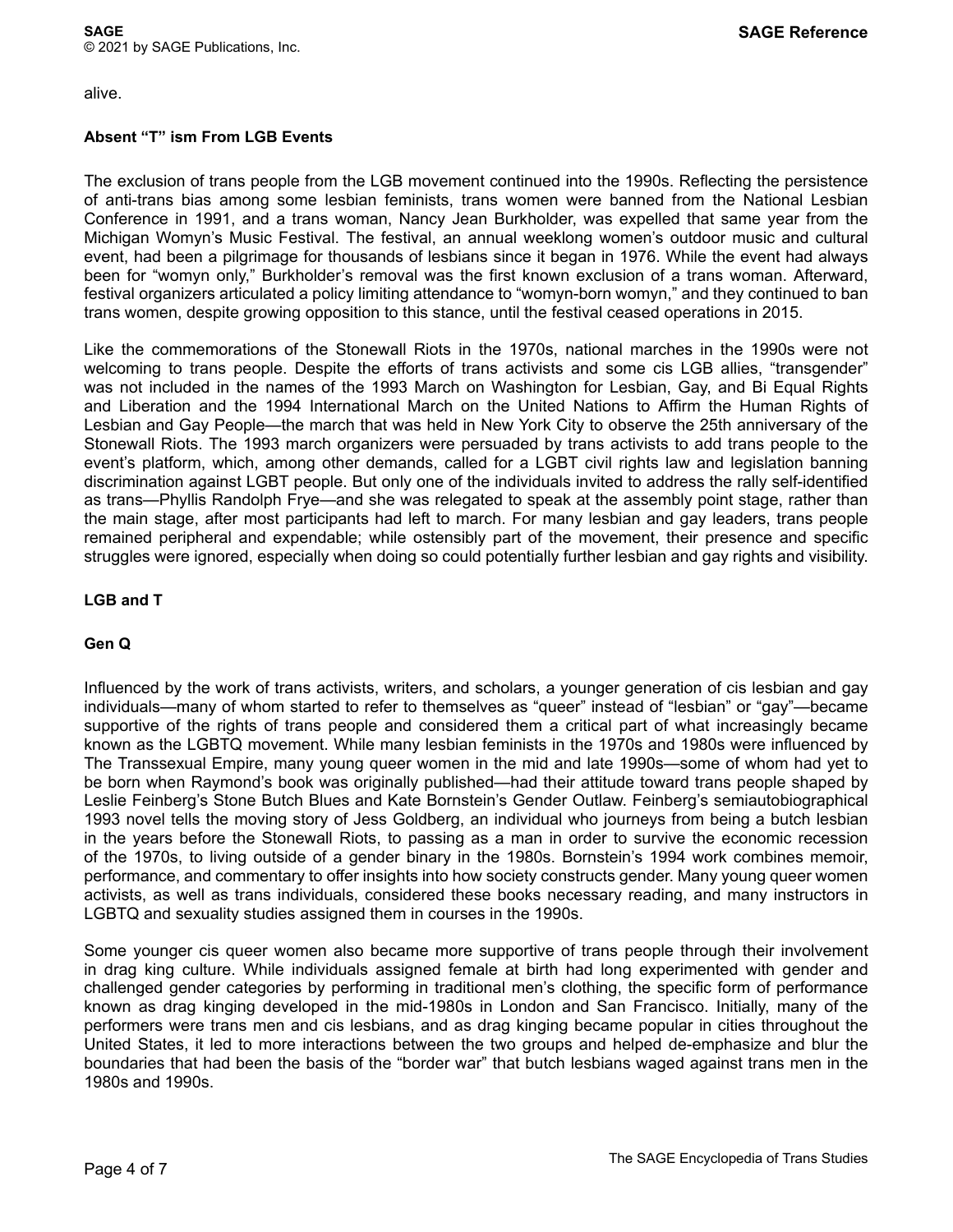alive.

#### **Absent "T" ism From LGB Events**

The exclusion of trans people from the LGB movement continued into the 1990s. Reflecting the persistence of anti-trans bias among some lesbian feminists, trans women were banned from the National Lesbian Conference in 1991, and a trans woman, Nancy Jean Burkholder, was expelled that same year from the Michigan Womyn's Music Festival. The festival, an annual weeklong women's outdoor music and cultural event, had been a pilgrimage for thousands of lesbians since it began in 1976. While the event had always been for "womyn only," Burkholder's removal was the first known exclusion of a trans woman. Afterward, festival organizers articulated a policy limiting attendance to "womyn-born womyn," and they continued to ban trans women, despite growing opposition to this stance, until the festival ceased operations in 2015.

Like the commemorations of the Stonewall Riots in the 1970s, national marches in the 1990s were not welcoming to trans people. Despite the efforts of trans activists and some cis LGB allies, "transgender" was not included in the names of the 1993 March on Washington for Lesbian, Gay, and Bi Equal Rights and Liberation and the 1994 International March on the United Nations to Affirm the Human Rights of Lesbian and Gay People—the march that was held in New York City to observe the 25th anniversary of the Stonewall Riots. The 1993 march organizers were persuaded by trans activists to add trans people to the event's platform, which, among other demands, called for a LGBT civil rights law and legislation banning discrimination against LGBT people. But only one of the individuals invited to address the rally self-identified as trans—Phyllis Randolph Frye—and she was relegated to speak at the assembly point stage, rather than the main stage, after most participants had left to march. For many lesbian and gay leaders, trans people remained peripheral and expendable; while ostensibly part of the movement, their presence and specific struggles were ignored, especially when doing so could potentially further lesbian and gay rights and visibility.

#### **LGB and T**

#### **Gen Q**

Influenced by the work of trans activists, writers, and scholars, a younger generation of cis lesbian and gay individuals—many of whom started to refer to themselves as "queer" instead of "lesbian" or "gay"—became supportive of the rights of trans people and considered them a critical part of what increasingly became known as the LGBTQ movement. While many lesbian feminists in the 1970s and 1980s were influenced by The Transsexual Empire, many young queer women in the mid and late 1990s—some of whom had yet to be born when Raymond's book was originally published—had their attitude toward trans people shaped by Leslie Feinberg's Stone Butch Blues and Kate Bornstein's Gender Outlaw. Feinberg's semiautobiographical 1993 novel tells the moving story of Jess Goldberg, an individual who journeys from being a butch lesbian in the years before the Stonewall Riots, to passing as a man in order to survive the economic recession of the 1970s, to living outside of a gender binary in the 1980s. Bornstein's 1994 work combines memoir, performance, and commentary to offer insights into how society constructs gender. Many young queer women activists, as well as trans individuals, considered these books necessary reading, and many instructors in LGBTQ and sexuality studies assigned them in courses in the 1990s.

Some younger cis queer women also became more supportive of trans people through their involvement in drag king culture. While individuals assigned female at birth had long experimented with gender and challenged gender categories by performing in traditional men's clothing, the specific form of performance known as drag kinging developed in the mid-1980s in London and San Francisco. Initially, many of the performers were trans men and cis lesbians, and as drag kinging became popular in cities throughout the United States, it led to more interactions between the two groups and helped de-emphasize and blur the boundaries that had been the basis of the "border war" that butch lesbians waged against trans men in the 1980s and 1990s.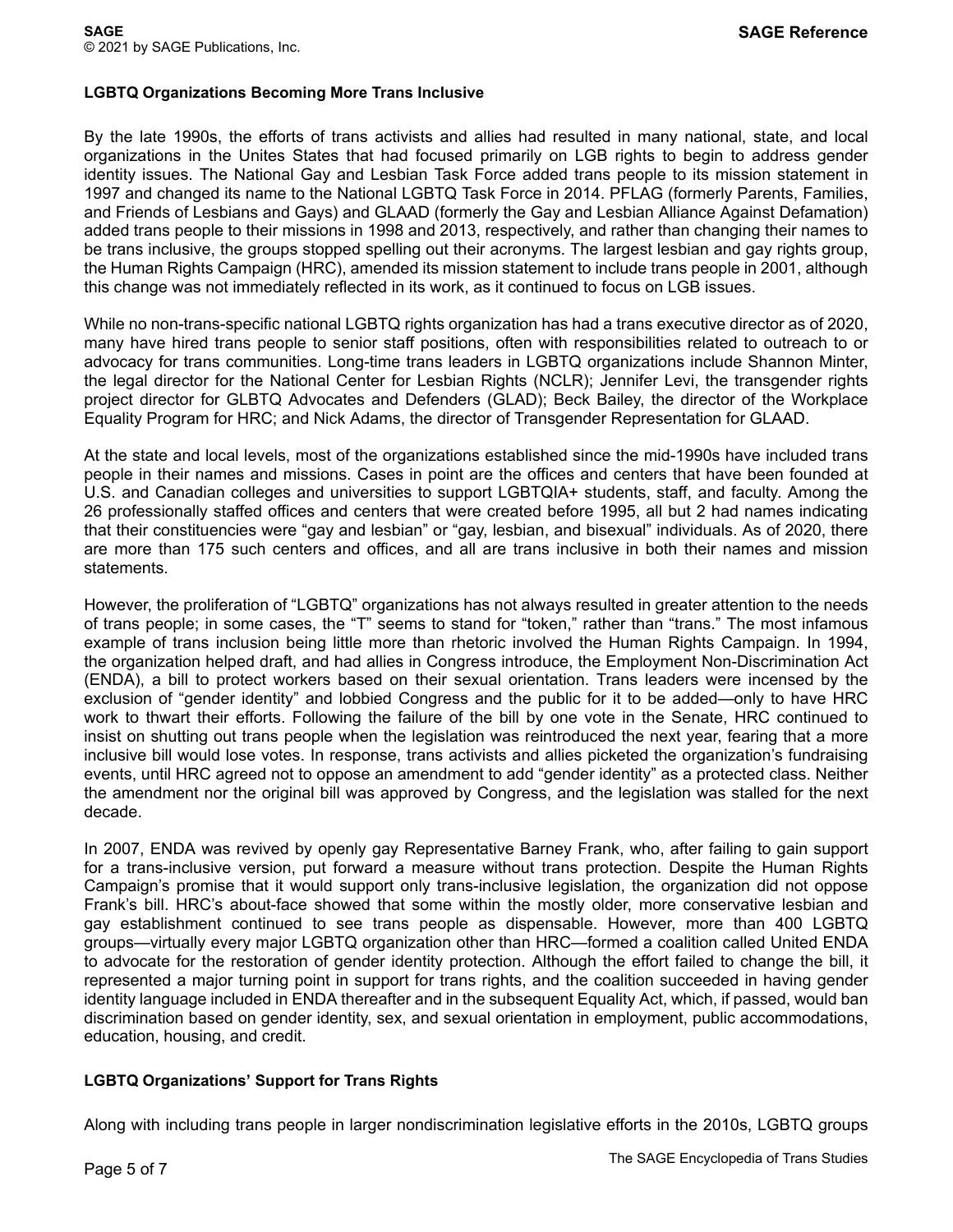### **LGBTQ Organizations Becoming More Trans Inclusive**

By the late 1990s, the efforts of trans activists and allies had resulted in many national, state, and local organizations in the Unites States that had focused primarily on LGB rights to begin to address gender identity issues. The National Gay and Lesbian Task Force added trans people to its mission statement in 1997 and changed its name to the National LGBTQ Task Force in 2014. PFLAG (formerly Parents, Families, and Friends of Lesbians and Gays) and GLAAD (formerly the Gay and Lesbian Alliance Against Defamation) added trans people to their missions in 1998 and 2013, respectively, and rather than changing their names to be trans inclusive, the groups stopped spelling out their acronyms. The largest lesbian and gay rights group, the Human Rights Campaign (HRC), amended its mission statement to include trans people in 2001, although this change was not immediately reflected in its work, as it continued to focus on LGB issues.

While no non-trans-specific national LGBTQ rights organization has had a trans executive director as of 2020, many have hired trans people to senior staff positions, often with responsibilities related to outreach to or advocacy for trans communities. Long-time trans leaders in LGBTQ organizations include Shannon Minter, the legal director for the National Center for Lesbian Rights (NCLR); Jennifer Levi, the transgender rights project director for GLBTQ Advocates and Defenders (GLAD); Beck Bailey, the director of the Workplace Equality Program for HRC; and Nick Adams, the director of Transgender Representation for GLAAD.

At the state and local levels, most of the organizations established since the mid-1990s have included trans people in their names and missions. Cases in point are the offices and centers that have been founded at U.S. and Canadian colleges and universities to support LGBTQIA+ students, staff, and faculty. Among the 26 professionally staffed offices and centers that were created before 1995, all but 2 had names indicating that their constituencies were "gay and lesbian" or "gay, lesbian, and bisexual" individuals. As of 2020, there are more than 175 such centers and offices, and all are trans inclusive in both their names and mission statements.

However, the proliferation of "LGBTQ" organizations has not always resulted in greater attention to the needs of trans people; in some cases, the "T" seems to stand for "token," rather than "trans." The most infamous example of trans inclusion being little more than rhetoric involved the Human Rights Campaign. In 1994, the organization helped draft, and had allies in Congress introduce, the Employment Non-Discrimination Act (ENDA), a bill to protect workers based on their sexual orientation. Trans leaders were incensed by the exclusion of "gender identity" and lobbied Congress and the public for it to be added—only to have HRC work to thwart their efforts. Following the failure of the bill by one vote in the Senate, HRC continued to insist on shutting out trans people when the legislation was reintroduced the next year, fearing that a more inclusive bill would lose votes. In response, trans activists and allies picketed the organization's fundraising events, until HRC agreed not to oppose an amendment to add "gender identity" as a protected class. Neither the amendment nor the original bill was approved by Congress, and the legislation was stalled for the next decade.

In 2007, ENDA was revived by openly gay Representative Barney Frank, who, after failing to gain support for a trans-inclusive version, put forward a measure without trans protection. Despite the Human Rights Campaign's promise that it would support only trans-inclusive legislation, the organization did not oppose Frank's bill. HRC's about-face showed that some within the mostly older, more conservative lesbian and gay establishment continued to see trans people as dispensable. However, more than 400 LGBTQ groups—virtually every major LGBTQ organization other than HRC—formed a coalition called United ENDA to advocate for the restoration of gender identity protection. Although the effort failed to change the bill, it represented a major turning point in support for trans rights, and the coalition succeeded in having gender identity language included in ENDA thereafter and in the subsequent Equality Act, which, if passed, would ban discrimination based on gender identity, sex, and sexual orientation in employment, public accommodations, education, housing, and credit.

#### **LGBTQ Organizations' Support for Trans Rights**

Along with including trans people in larger nondiscrimination legislative efforts in the 2010s, LGBTQ groups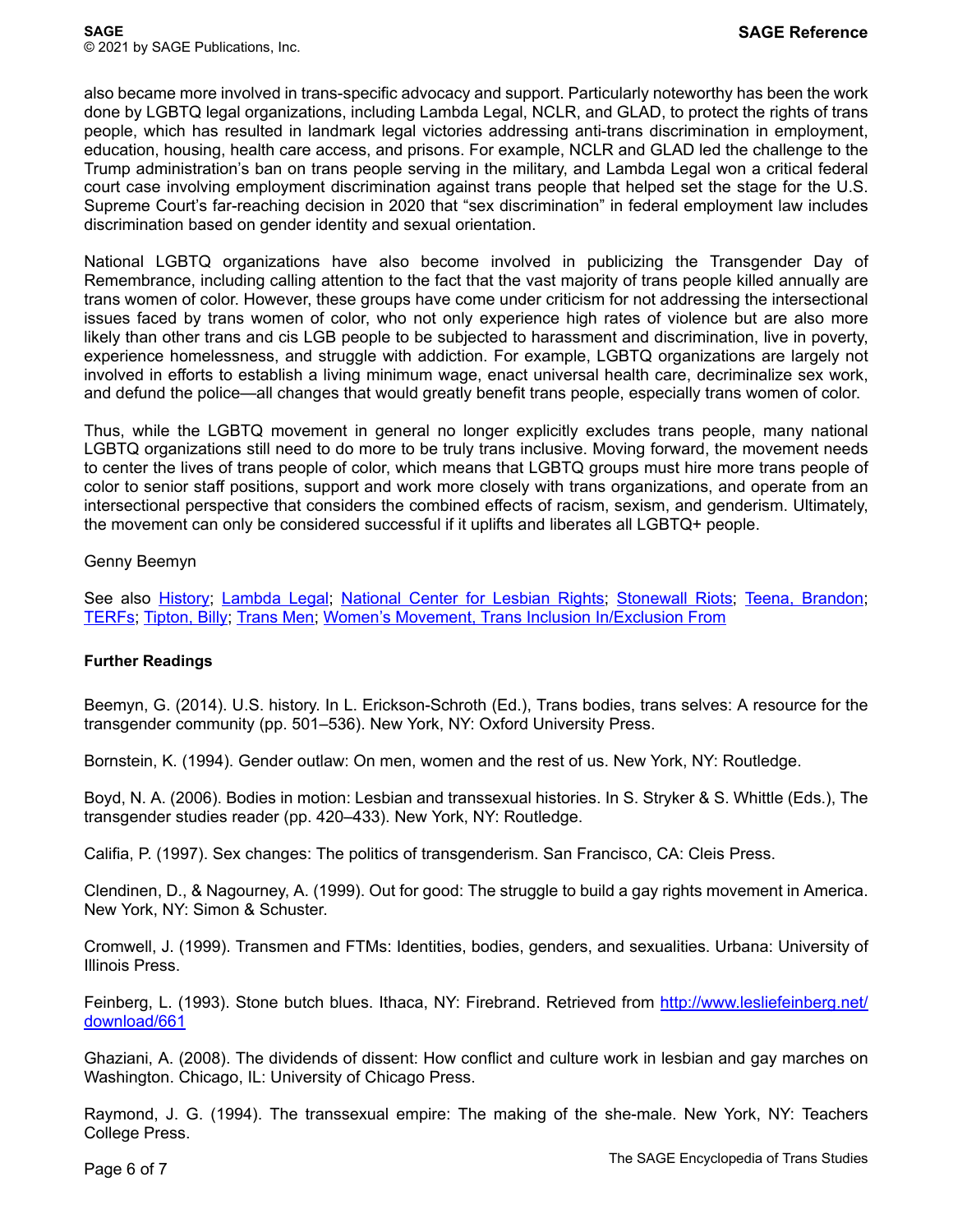also became more involved in trans-specific advocacy and support. Particularly noteworthy has been the work done by LGBTQ legal organizations, including Lambda Legal, NCLR, and GLAD, to protect the rights of trans people, which has resulted in landmark legal victories addressing anti-trans discrimination in employment, education, housing, health care access, and prisons. For example, NCLR and GLAD led the challenge to the Trump administration's ban on trans people serving in the military, and Lambda Legal won a critical federal court case involving employment discrimination against trans people that helped set the stage for the U.S. Supreme Court's far-reaching decision in 2020 that "sex discrimination" in federal employment law includes discrimination based on gender identity and sexual orientation.

National LGBTQ organizations have also become involved in publicizing the Transgender Day of Remembrance, including calling attention to the fact that the vast majority of trans people killed annually are trans women of color. However, these groups have come under criticism for not addressing the intersectional issues faced by trans women of color, who not only experience high rates of violence but are also more likely than other trans and cis LGB people to be subjected to harassment and discrimination, live in poverty, experience homelessness, and struggle with addiction. For example, LGBTQ organizations are largely not involved in efforts to establish a living minimum wage, enact universal health care, decriminalize sex work, and defund the police—all changes that would greatly benefit trans people, especially trans women of color.

Thus, while the LGBTQ movement in general no longer explicitly excludes trans people, many national LGBTQ organizations still need to do more to be truly trans inclusive. Moving forward, the movement needs to center the lives of trans people of color, which means that LGBTQ groups must hire more trans people of color to senior staff positions, support and work more closely with trans organizations, and operate from an intersectional perspective that considers the combined effects of racism, sexism, and genderism. Ultimately, the movement can only be considered successful if it uplifts and liberates all LGBTQ+ people.

#### Genny Beemyn

See also [History;](http://sk.sagepub.com/reference/the-sage-encyclopedia-of-trans-studies/i3752.xml) [Lambda Legal](http://sk.sagepub.com/reference/the-sage-encyclopedia-of-trans-studies/i4414.xml); [National Center for Lesbian Rights](http://sk.sagepub.com/reference/the-sage-encyclopedia-of-trans-studies/i4999.xml); [Stonewall Riots;](http://sk.sagepub.com/reference/the-sage-encyclopedia-of-trans-studies/i6664.xml) [Teena, Brandon](http://sk.sagepub.com/reference/the-sage-encyclopedia-of-trans-studies/i6807.xml); [TERFs;](http://sk.sagepub.com/reference/the-sage-encyclopedia-of-trans-studies/i6820.xml) [Tipton, Billy](http://sk.sagepub.com/reference/the-sage-encyclopedia-of-trans-studies/i6913.xml); [Trans Men](http://sk.sagepub.com/reference/the-sage-encyclopedia-of-trans-studies/i6964.xml); [Women's Movement, Trans Inclusion In/Exclusion From](http://sk.sagepub.com/reference/the-sage-encyclopedia-of-trans-studies/i7526.xml) 

#### **Further Readings**

Beemyn, G. (2014). U.S. history. In L. Erickson-Schroth (Ed.), Trans bodies, trans selves: A resource for the transgender community (pp. 501–536). New York, NY: Oxford University Press.

Bornstein, K. (1994). Gender outlaw: On men, women and the rest of us. New York, NY: Routledge.

Boyd, N. A. (2006). Bodies in motion: Lesbian and transsexual histories. In S. Stryker & S. Whittle (Eds.), The transgender studies reader (pp. 420–433). New York, NY: Routledge.

Califia, P. (1997). Sex changes: The politics of transgenderism. San Francisco, CA: Cleis Press.

Clendinen, D., & Nagourney, A. (1999). Out for good: The struggle to build a gay rights movement in America. New York, NY: Simon & Schuster.

Cromwell, J. (1999). Transmen and FTMs: Identities, bodies, genders, and sexualities. Urbana: University of Illinois Press.

Feinberg, L. (1993). Stone butch blues. Ithaca, NY: Firebrand. Retrieved from [http://www.lesliefeinberg.net/](http://www.lesliefeinberg.net/download/661) [download/661](http://www.lesliefeinberg.net/download/661)

Ghaziani, A. (2008). The dividends of dissent: How conflict and culture work in lesbian and gay marches on Washington. Chicago, IL: University of Chicago Press.

Raymond, J. G. (1994). The transsexual empire: The making of the she-male. New York, NY: Teachers College Press.